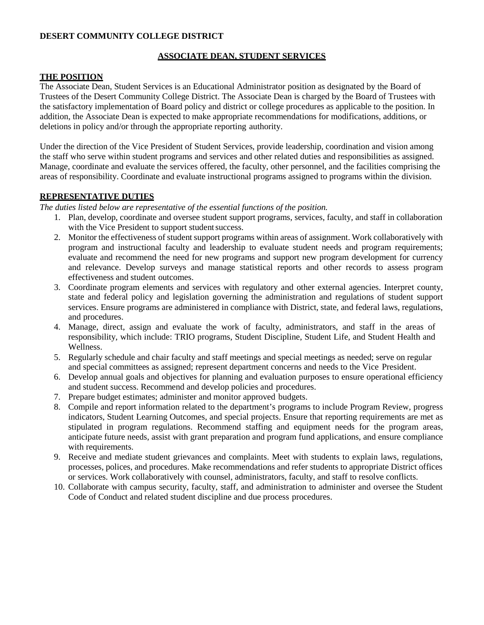### **DESERT COMMUNITY COLLEGE DISTRICT**

### **ASSOCIATE DEAN, STUDENT SERVICES**

### **THE POSITION**

The Associate Dean, Student Services is an Educational Administrator position as designated by the Board of Trustees of the Desert Community College District. The Associate Dean is charged by the Board of Trustees with the satisfactory implementation of Board policy and district or college procedures as applicable to the position. In addition, the Associate Dean is expected to make appropriate recommendations for modifications, additions, or deletions in policy and/or through the appropriate reporting authority.

Under the direction of the Vice President of Student Services, provide leadership, coordination and vision among the staff who serve within student programs and services and other related duties and responsibilities as assigned. Manage, coordinate and evaluate the services offered, the faculty, other personnel, and the facilities comprising the areas of responsibility. Coordinate and evaluate instructional programs assigned to programs within the division.

### **REPRESENTATIVE DUTIES**

*The duties listed below are representative of the essential functions of the position.*

- 1. Plan, develop, coordinate and oversee student support programs, services, faculty, and staff in collaboration with the Vice President to support student success.
- 2. Monitor the effectiveness of student support programs within areas of assignment. Work collaboratively with program and instructional faculty and leadership to evaluate student needs and program requirements; evaluate and recommend the need for new programs and support new program development for currency and relevance. Develop surveys and manage statistical reports and other records to assess program effectiveness and student outcomes.
- 3. Coordinate program elements and services with regulatory and other external agencies. Interpret county, state and federal policy and legislation governing the administration and regulations of student support services. Ensure programs are administered in compliance with District, state, and federal laws, regulations, and procedures.
- 4. Manage, direct, assign and evaluate the work of faculty, administrators, and staff in the areas of responsibility, which include: TRIO programs, Student Discipline, Student Life, and Student Health and Wellness.
- 5. Regularly schedule and chair faculty and staff meetings and special meetings as needed; serve on regular and special committees as assigned; represent department concerns and needs to the Vice President.
- 6. Develop annual goals and objectives for planning and evaluation purposes to ensure operational efficiency and student success. Recommend and develop policies and procedures.
- 7. Prepare budget estimates; administer and monitor approved budgets.
- 8. Compile and report information related to the department's programs to include Program Review, progress indicators, Student Learning Outcomes, and special projects. Ensure that reporting requirements are met as stipulated in program regulations. Recommend staffing and equipment needs for the program areas, anticipate future needs, assist with grant preparation and program fund applications, and ensure compliance with requirements.
- 9. Receive and mediate student grievances and complaints. Meet with students to explain laws, regulations, processes, polices, and procedures. Make recommendations and refer students to appropriate District offices or services. Work collaboratively with counsel, administrators, faculty, and staff to resolve conflicts.
- 10. Collaborate with campus security, faculty, staff, and administration to administer and oversee the Student Code of Conduct and related student discipline and due process procedures.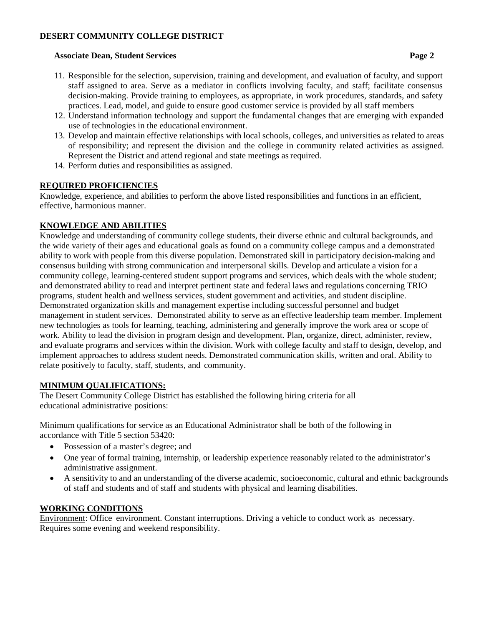### **DESERT COMMUNITY COLLEGE DISTRICT**

#### **Associate Dean, Student Services Page 2**

- 11. Responsible for the selection, supervision, training and development, and evaluation of faculty, and support staff assigned to area. Serve as a mediator in conflicts involving faculty, and staff; facilitate consensus decision-making. Provide training to employees, as appropriate, in work procedures, standards, and safety practices. Lead, model, and guide to ensure good customer service is provided by all staff members
- 12. Understand information technology and support the fundamental changes that are emerging with expanded use of technologies in the educational environment.
- 13. Develop and maintain effective relationships with local schools, colleges, and universities as related to areas of responsibility; and represent the division and the college in community related activities as assigned. Represent the District and attend regional and state meetings as required.
- 14. Perform duties and responsibilities as assigned.

## **REQUIRED PROFICIENCIES**

Knowledge, experience, and abilities to perform the above listed responsibilities and functions in an efficient, effective, harmonious manner.

## **KNOWLEDGE AND ABILITIES**

Knowledge and understanding of community college students, their diverse ethnic and cultural backgrounds, and the wide variety of their ages and educational goals as found on a community college campus and a demonstrated ability to work with people from this diverse population. Demonstrated skill in participatory decision-making and consensus building with strong communication and interpersonal skills. Develop and articulate a vision for a community college, learning-centered student support programs and services, which deals with the whole student; and demonstrated ability to read and interpret pertinent state and federal laws and regulations concerning TRIO programs, student health and wellness services, student government and activities, and student discipline. Demonstrated organization skills and management expertise including successful personnel and budget management in student services. Demonstrated ability to serve as an effective leadership team member. Implement new technologies as tools for learning, teaching, administering and generally improve the work area or scope of work. Ability to lead the division in program design and development. Plan, organize, direct, administer, review, and evaluate programs and services within the division. Work with college faculty and staff to design, develop, and implement approaches to address student needs. Demonstrated communication skills, written and oral. Ability to relate positively to faculty, staff, students, and community.

### **MINIMUM QUALIFICATIONS:**

The Desert Community College District has established the following hiring criteria for all educational administrative positions:

Minimum qualifications for service as an Educational Administrator shall be both of the following in accordance with Title 5 section 53420:

- Possession of a master's degree; and
- One year of formal training, internship, or leadership experience reasonably related to the administrator's administrative assignment.
- A sensitivity to and an understanding of the diverse academic, socioeconomic, cultural and ethnic backgrounds of staff and students and of staff and students with physical and learning disabilities.

### **WORKING CONDITIONS**

Environment: Office environment. Constant interruptions. Driving a vehicle to conduct work as necessary. Requires some evening and weekend responsibility.